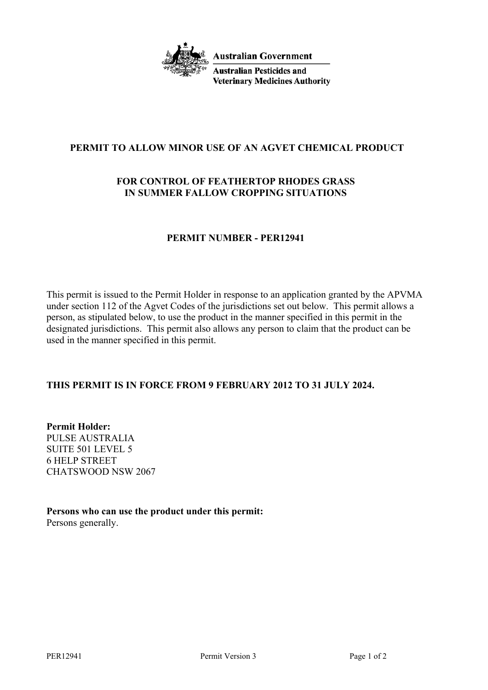

**Australian Government** 

**Australian Pesticides and Veterinary Medicines Authority** 

# **PERMIT TO ALLOW MINOR USE OF AN AGVET CHEMICAL PRODUCT**

# **FOR CONTROL OF FEATHERTOP RHODES GRASS IN SUMMER FALLOW CROPPING SITUATIONS**

## **PERMIT NUMBER - PER12941**

This permit is issued to the Permit Holder in response to an application granted by the APVMA under section 112 of the Agvet Codes of the jurisdictions set out below. This permit allows a person, as stipulated below, to use the product in the manner specified in this permit in the designated jurisdictions. This permit also allows any person to claim that the product can be used in the manner specified in this permit.

## **THIS PERMIT IS IN FORCE FROM 9 FEBRUARY 2012 TO 31 JULY 2024.**

**Permit Holder:** PULSE AUSTRALIA SUITE 501 LEVEL 5 6 HELP STREET CHATSWOOD NSW 2067

**Persons who can use the product under this permit:** Persons generally.